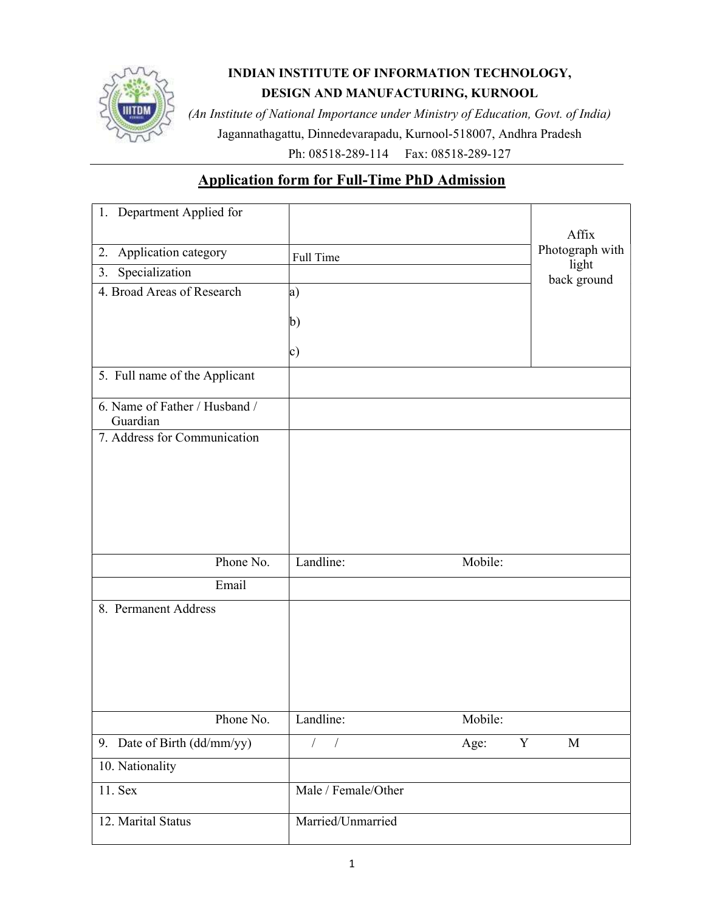

## INDIAN INSTITUTE OF INFORMATION TECHNOLOGY, DESIGN AND MANUFACTURING, KURNOOL

(An Institute of National Importance under Ministry of Education, Govt. of India) Jagannathagattu, Dinnedevarapadu, Kurnool-518007, Andhra Pradesh

Ph: 08518-289-114 Fax: 08518-289-127

## Application form for Full-Time PhD Admission

| 1. Department Applied for                 |                     |         | Affix            |
|-------------------------------------------|---------------------|---------|------------------|
| 2. Application category                   | Full Time           |         | Photograph with  |
| Specialization<br>3.                      |                     |         | light            |
| 4. Broad Areas of Research                | a)                  |         | back ground      |
|                                           |                     |         |                  |
|                                           | b)                  |         |                  |
|                                           | c)                  |         |                  |
| 5. Full name of the Applicant             |                     |         |                  |
| 6. Name of Father / Husband /<br>Guardian |                     |         |                  |
| 7. Address for Communication              |                     |         |                  |
|                                           |                     |         |                  |
|                                           |                     |         |                  |
|                                           |                     |         |                  |
|                                           |                     |         |                  |
|                                           |                     |         |                  |
| Phone No.                                 | Landline:           | Mobile: |                  |
| Email                                     |                     |         |                  |
|                                           |                     |         |                  |
| 8. Permanent Address                      |                     |         |                  |
|                                           |                     |         |                  |
|                                           |                     |         |                  |
|                                           |                     |         |                  |
|                                           |                     |         |                  |
| Phone No.                                 | Landline:           | Mobile: |                  |
| 9. Date of Birth (dd/mm/yy)               |                     | Age:    | $\mathbf M$<br>Y |
| 10. Nationality                           |                     |         |                  |
| 11. Sex                                   | Male / Female/Other |         |                  |
| 12. Marital Status                        | Married/Unmarried   |         |                  |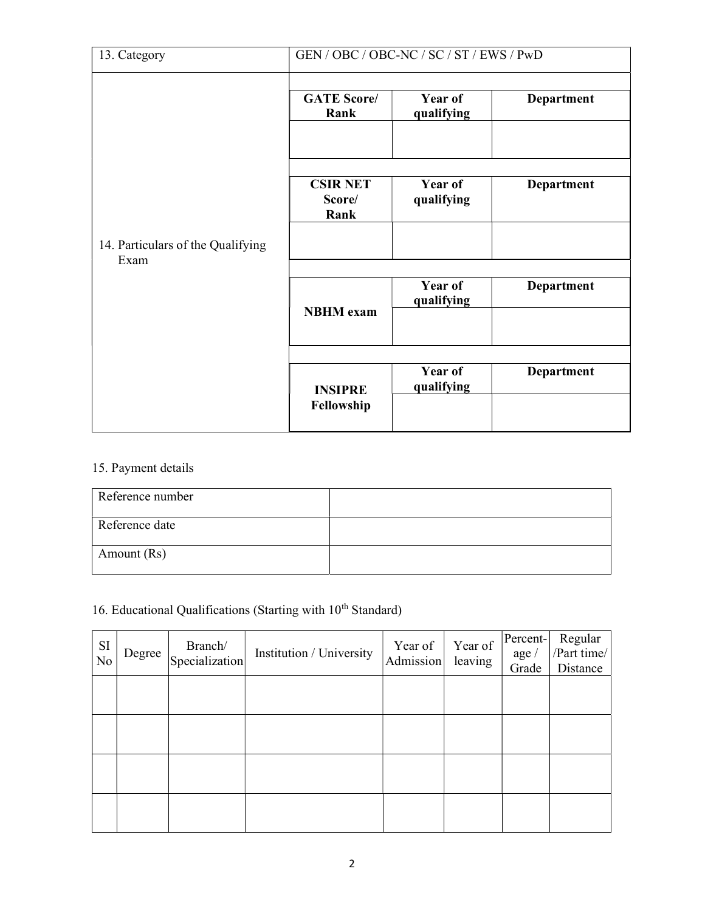| 13. Category                              | GEN / OBC / OBC-NC / SC / ST / EWS / PwD |                       |                   |  |  |  |
|-------------------------------------------|------------------------------------------|-----------------------|-------------------|--|--|--|
|                                           | <b>GATE Score/</b><br>Rank               | Year of<br>qualifying | <b>Department</b> |  |  |  |
|                                           | <b>CSIR NET</b><br>Score/<br>Rank        | Year of<br>qualifying | <b>Department</b> |  |  |  |
| 14. Particulars of the Qualifying<br>Exam |                                          |                       |                   |  |  |  |
|                                           | <b>NBHM</b> exam                         | Year of<br>qualifying | <b>Department</b> |  |  |  |
|                                           |                                          |                       |                   |  |  |  |
|                                           | <b>INSIPRE</b><br>Fellowship             | Year of<br>qualifying | <b>Department</b> |  |  |  |
|                                           |                                          |                       |                   |  |  |  |

## 15. Payment details

| Reference number |  |
|------------------|--|
| Reference date   |  |
| Amount (Rs)      |  |

# 16. Educational Qualifications (Starting with  $10^{th}$  Standard)

| <b>SI</b><br>$\overline{N}$ | Degree | $\begin{array}{c}\n\text{Branch/} \\ \text{Specialization}\n\end{array}$ | Institution / University | Year of<br>Admission | Year of<br>leaving | Percent-<br>$\text{age}$<br>Grade | Regular<br>/Part time/<br>Distance |
|-----------------------------|--------|--------------------------------------------------------------------------|--------------------------|----------------------|--------------------|-----------------------------------|------------------------------------|
|                             |        |                                                                          |                          |                      |                    |                                   |                                    |
|                             |        |                                                                          |                          |                      |                    |                                   |                                    |
|                             |        |                                                                          |                          |                      |                    |                                   |                                    |
|                             |        |                                                                          |                          |                      |                    |                                   |                                    |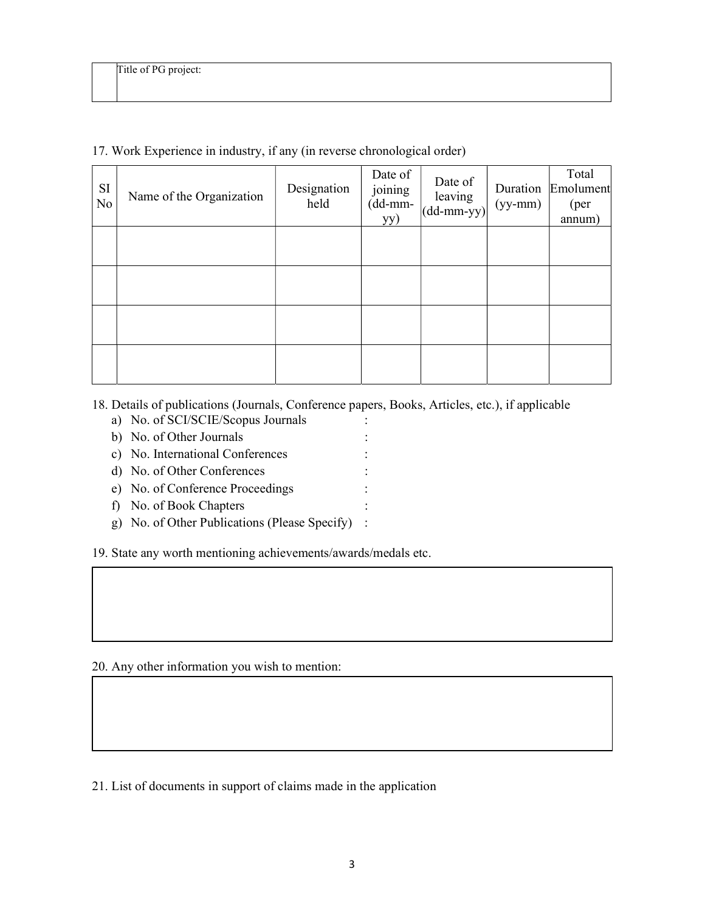| SI<br>N <sub>o</sub> | Name of the Organization | Designation<br>held | Date of<br>joining<br>$(dd{\text{-}\!\!\,\mathrm{mm}}$ -<br>yy) | Date of<br>leaving<br>$\vert$ (dd-mm-yy) $\vert$ | Duration<br>$(yy-mm)$ | Total<br>Emolument<br>( <i>per</i> )<br>annum) |
|----------------------|--------------------------|---------------------|-----------------------------------------------------------------|--------------------------------------------------|-----------------------|------------------------------------------------|
|                      |                          |                     |                                                                 |                                                  |                       |                                                |
|                      |                          |                     |                                                                 |                                                  |                       |                                                |
|                      |                          |                     |                                                                 |                                                  |                       |                                                |
|                      |                          |                     |                                                                 |                                                  |                       |                                                |

### 17. Work Experience in industry, if any (in reverse chronological order)

- 18. Details of publications (Journals, Conference papers, Books, Articles, etc.), if applicable
	- a) No. of SCI/SCIE/Scopus Journals :
	- b) No. of Other Journals :
	- c) No. International Conferences :
	- d) No. of Other Conferences :
	- e) No. of Conference Proceedings :
	- f) No. of Book Chapters :
	- g) No. of Other Publications (Please Specify) :

19. State any worth mentioning achievements/awards/medals etc.

20. Any other information you wish to mention:

21. List of documents in support of claims made in the application